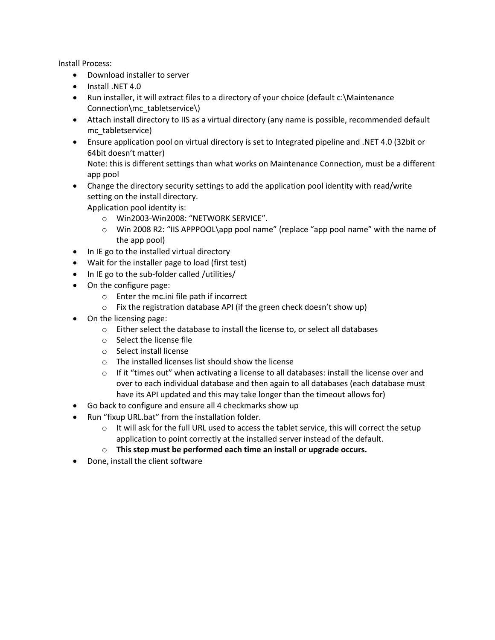Install Process:

- Download installer to server
- Install .NET 4.0
- Run installer, it will extract files to a directory of your choice (default c:\Maintenance Connection\mc\_tabletservice\)
- Attach install directory to IIS as a virtual directory (any name is possible, recommended default mc\_tabletservice)
- Ensure application pool on virtual directory is set to Integrated pipeline and .NET 4.0 (32bit or 64bit doesn't matter)

Note: this is different settings than what works on Maintenance Connection, must be a different app pool

- Change the directory security settings to add the application pool identity with read/write setting on the install directory. Application pool identity is:
	- o Win2003-Win2008: "NETWORK SERVICE".
	- o Win 2008 R2: "IIS APPPOOL\app pool name" (replace "app pool name" with the name of the app pool)
- In IE go to the installed virtual directory
- Wait for the installer page to load (first test)
- In IE go to the sub-folder called /utilities/
- On the configure page:
	- o Enter the mc.ini file path if incorrect
	- o Fix the registration database API (if the green check doesn't show up)
- On the licensing page:
	- o Either select the database to install the license to, or select all databases
	- o Select the license file
	- o Select install license
	- o The installed licenses list should show the license
	- $\circ$  If it "times out" when activating a license to all databases: install the license over and over to each individual database and then again to all databases (each database must have its API updated and this may take longer than the timeout allows for)
- Go back to configure and ensure all 4 checkmarks show up
- Run "fixup URL.bat" from the installation folder.
	- $\circ$  It will ask for the full URL used to access the tablet service, this will correct the setup application to point correctly at the installed server instead of the default.
	- o **This step must be performed each time an install or upgrade occurs.**
- Done, install the client software